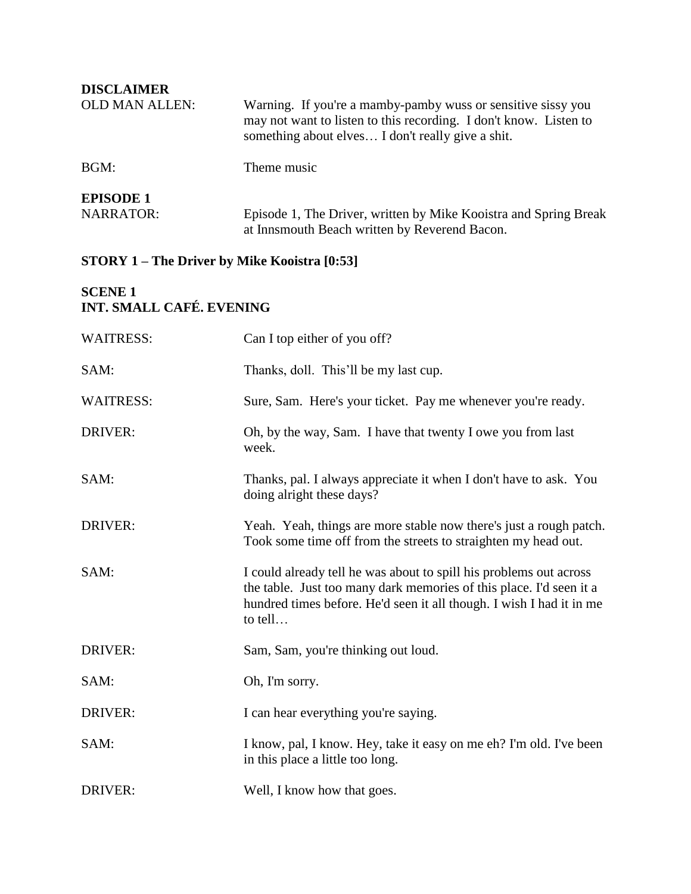| <b>DISCLAIMER</b>                    |                                                                                                                                                                                        |
|--------------------------------------|----------------------------------------------------------------------------------------------------------------------------------------------------------------------------------------|
| <b>OLD MAN ALLEN:</b>                | Warning. If you're a mamby-pamby wuss or sensitive sissy you<br>may not want to listen to this recording. I don't know. Listen to<br>something about elves I don't really give a shit. |
| BGM:                                 | Theme music                                                                                                                                                                            |
| <b>EPISODE 1</b><br><b>NARRATOR:</b> | Episode 1, The Driver, written by Mike Kooistra and Spring Break<br>at Innsmouth Beach written by Reverend Bacon.                                                                      |

# **STORY 1 – The Driver by Mike Kooistra [0:53]**

### **SCENE 1 INT. SMALL CAFÉ. EVENING**

| <b>WAITRESS:</b> | Can I top either of you off?                                                                                                                                                                                                 |
|------------------|------------------------------------------------------------------------------------------------------------------------------------------------------------------------------------------------------------------------------|
| SAM:             | Thanks, doll. This'll be my last cup.                                                                                                                                                                                        |
| <b>WAITRESS:</b> | Sure, Sam. Here's your ticket. Pay me whenever you're ready.                                                                                                                                                                 |
| <b>DRIVER:</b>   | Oh, by the way, Sam. I have that twenty I owe you from last<br>week.                                                                                                                                                         |
| SAM:             | Thanks, pal. I always appreciate it when I don't have to ask. You<br>doing alright these days?                                                                                                                               |
| DRIVER:          | Yeah. Yeah, things are more stable now there's just a rough patch.<br>Took some time off from the streets to straighten my head out.                                                                                         |
| SAM:             | I could already tell he was about to spill his problems out across<br>the table. Just too many dark memories of this place. I'd seen it a<br>hundred times before. He'd seen it all though. I wish I had it in me<br>to tell |
| <b>DRIVER:</b>   | Sam, Sam, you're thinking out loud.                                                                                                                                                                                          |
| SAM:             | Oh, I'm sorry.                                                                                                                                                                                                               |
| <b>DRIVER:</b>   | I can hear everything you're saying.                                                                                                                                                                                         |
| SAM:             | I know, pal, I know. Hey, take it easy on me eh? I'm old. I've been<br>in this place a little too long.                                                                                                                      |
| <b>DRIVER:</b>   | Well, I know how that goes.                                                                                                                                                                                                  |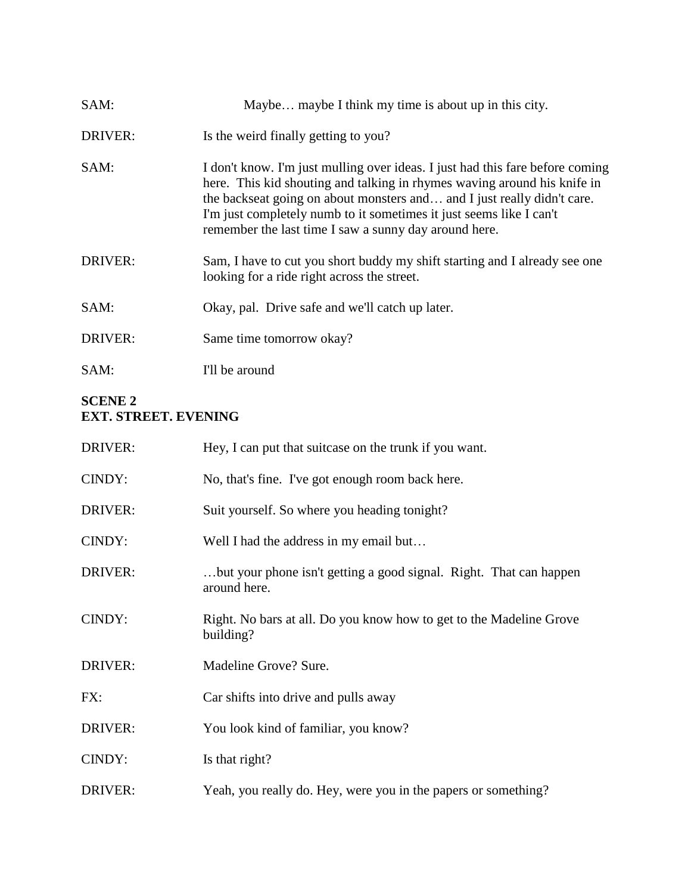| SAM:           | Maybe maybe I think my time is about up in this city.                                                                                                                                                                                                                                                                                                                |
|----------------|----------------------------------------------------------------------------------------------------------------------------------------------------------------------------------------------------------------------------------------------------------------------------------------------------------------------------------------------------------------------|
| <b>DRIVER:</b> | Is the weird finally getting to you?                                                                                                                                                                                                                                                                                                                                 |
| SAM:           | I don't know. I'm just mulling over ideas. I just had this fare before coming<br>here. This kid shouting and talking in rhymes waving around his knife in<br>the backseat going on about monsters and and I just really didn't care.<br>I'm just completely numb to it sometimes it just seems like I can't<br>remember the last time I saw a sunny day around here. |
| <b>DRIVER:</b> | Sam, I have to cut you short buddy my shift starting and I already see one<br>looking for a ride right across the street.                                                                                                                                                                                                                                            |
| SAM:           | Okay, pal. Drive safe and we'll catch up later.                                                                                                                                                                                                                                                                                                                      |
| <b>DRIVER:</b> | Same time tomorrow okay?                                                                                                                                                                                                                                                                                                                                             |
| SAM:           | I'll be around                                                                                                                                                                                                                                                                                                                                                       |

#### **SCENE 2 EXT. STREET. EVENING**

| DRIVER:        | Hey, I can put that suit case on the trunk if you want.                            |
|----------------|------------------------------------------------------------------------------------|
| CINDY:         | No, that's fine. I've got enough room back here.                                   |
| DRIVER:        | Suit yourself. So where you heading tonight?                                       |
| CINDY:         | Well I had the address in my email but                                             |
| <b>DRIVER:</b> | but your phone isn't getting a good signal. Right. That can happen<br>around here. |
| CINDY:         | Right. No bars at all. Do you know how to get to the Madeline Grove<br>building?   |
| DRIVER:        | Madeline Grove? Sure.                                                              |
| FX:            | Car shifts into drive and pulls away                                               |
| DRIVER:        | You look kind of familiar, you know?                                               |
| CINDY:         | Is that right?                                                                     |
| DRIVER:        | Yeah, you really do. Hey, were you in the papers or something?                     |
|                |                                                                                    |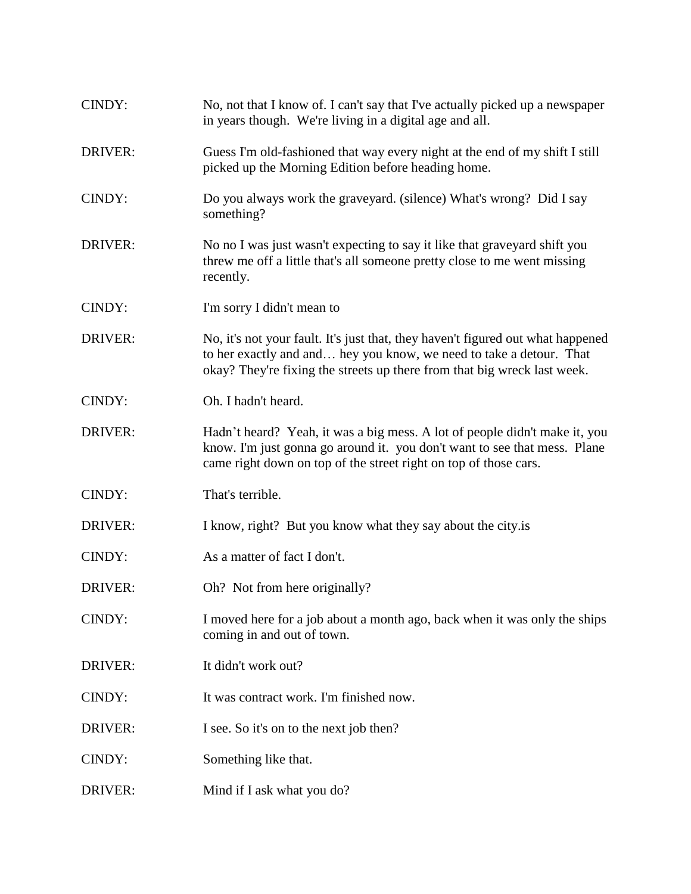| CINDY:         | No, not that I know of. I can't say that I've actually picked up a newspaper<br>in years though. We're living in a digital age and all.                                                                                            |
|----------------|------------------------------------------------------------------------------------------------------------------------------------------------------------------------------------------------------------------------------------|
| DRIVER:        | Guess I'm old-fashioned that way every night at the end of my shift I still<br>picked up the Morning Edition before heading home.                                                                                                  |
| CINDY:         | Do you always work the graveyard. (silence) What's wrong? Did I say<br>something?                                                                                                                                                  |
| <b>DRIVER:</b> | No no I was just wasn't expecting to say it like that graveyard shift you<br>threw me off a little that's all someone pretty close to me went missing<br>recently.                                                                 |
| CINDY:         | I'm sorry I didn't mean to                                                                                                                                                                                                         |
| <b>DRIVER:</b> | No, it's not your fault. It's just that, they haven't figured out what happened<br>to her exactly and and hey you know, we need to take a detour. That<br>okay? They're fixing the streets up there from that big wreck last week. |
| CINDY:         | Oh. I hadn't heard.                                                                                                                                                                                                                |
| <b>DRIVER:</b> | Hadn't heard? Yeah, it was a big mess. A lot of people didn't make it, you<br>know. I'm just gonna go around it. you don't want to see that mess. Plane<br>came right down on top of the street right on top of those cars.        |
| CINDY:         | That's terrible.                                                                                                                                                                                                                   |
| DRIVER:        | I know, right? But you know what they say about the city is                                                                                                                                                                        |
| CINDY:         | As a matter of fact I don't.                                                                                                                                                                                                       |
| DRIVER:        | Oh? Not from here originally?                                                                                                                                                                                                      |
| CINDY:         | I moved here for a job about a month ago, back when it was only the ships<br>coming in and out of town.                                                                                                                            |
| DRIVER:        | It didn't work out?                                                                                                                                                                                                                |
| CINDY:         | It was contract work. I'm finished now.                                                                                                                                                                                            |
| DRIVER:        | I see. So it's on to the next job then?                                                                                                                                                                                            |
| CINDY:         | Something like that.                                                                                                                                                                                                               |
| DRIVER:        | Mind if I ask what you do?                                                                                                                                                                                                         |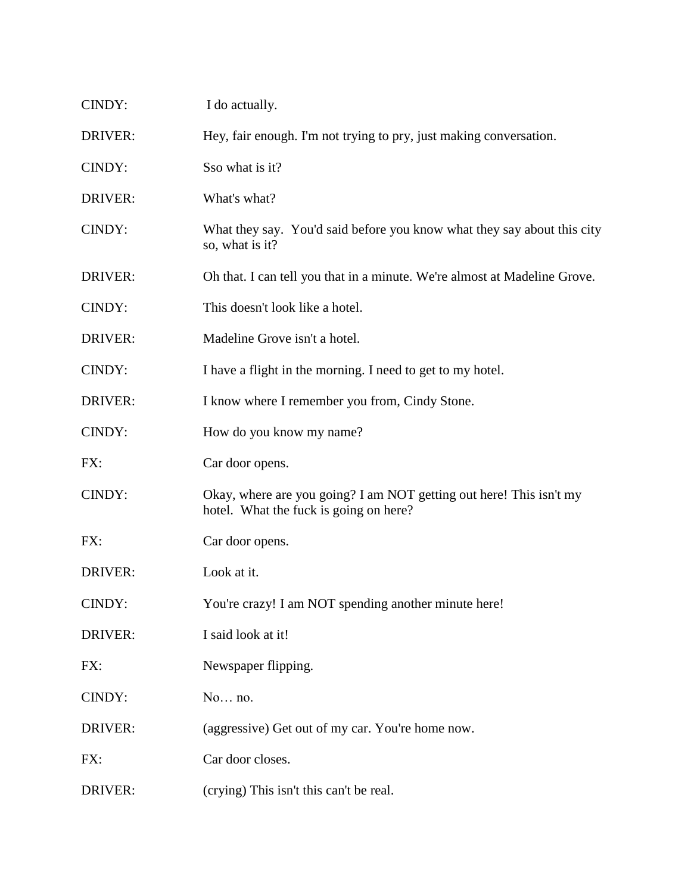| CINDY:         | I do actually.                                                                                                |
|----------------|---------------------------------------------------------------------------------------------------------------|
| <b>DRIVER:</b> | Hey, fair enough. I'm not trying to pry, just making conversation.                                            |
| CINDY:         | Sso what is it?                                                                                               |
| DRIVER:        | What's what?                                                                                                  |
| CINDY:         | What they say. You'd said before you know what they say about this city<br>so, what is it?                    |
| DRIVER:        | Oh that. I can tell you that in a minute. We're almost at Madeline Grove.                                     |
| CINDY:         | This doesn't look like a hotel.                                                                               |
| DRIVER:        | Madeline Grove isn't a hotel.                                                                                 |
| CINDY:         | I have a flight in the morning. I need to get to my hotel.                                                    |
| DRIVER:        | I know where I remember you from, Cindy Stone.                                                                |
| CINDY:         | How do you know my name?                                                                                      |
| FX:            | Car door opens.                                                                                               |
| CINDY:         | Okay, where are you going? I am NOT getting out here! This isn't my<br>hotel. What the fuck is going on here? |
| FX:            | Car door opens.                                                                                               |
| <b>DRIVER:</b> | Look at it.                                                                                                   |
| CINDY:         | You're crazy! I am NOT spending another minute here!                                                          |
| DRIVER:        | I said look at it!                                                                                            |
| FX:            | Newspaper flipping.                                                                                           |
| CINDY:         | No no.                                                                                                        |
| DRIVER:        | (aggressive) Get out of my car. You're home now.                                                              |
| FX:            | Car door closes.                                                                                              |
|                |                                                                                                               |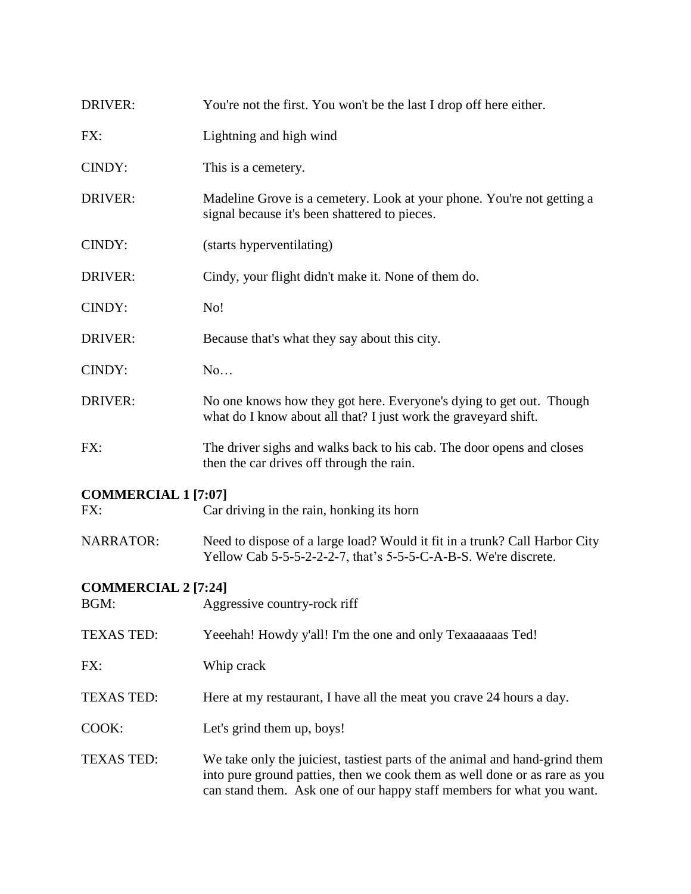| DRIVER:                                                                        | You're not the first. You won't be the last I drop off here either.                                                                                                                                                                |  |
|--------------------------------------------------------------------------------|------------------------------------------------------------------------------------------------------------------------------------------------------------------------------------------------------------------------------------|--|
| FX:                                                                            | Lightning and high wind                                                                                                                                                                                                            |  |
| CINDY:                                                                         | This is a cemetery.                                                                                                                                                                                                                |  |
| DRIVER:                                                                        | Madeline Grove is a cemetery. Look at your phone. You're not getting a<br>signal because it's been shattered to pieces.                                                                                                            |  |
| CINDY:                                                                         | (starts hyperventilating)                                                                                                                                                                                                          |  |
| DRIVER:                                                                        | Cindy, your flight didn't make it. None of them do.                                                                                                                                                                                |  |
| CINDY:                                                                         | No!                                                                                                                                                                                                                                |  |
| <b>DRIVER:</b>                                                                 | Because that's what they say about this city.                                                                                                                                                                                      |  |
| CINDY:                                                                         | No                                                                                                                                                                                                                                 |  |
| DRIVER:                                                                        | No one knows how they got here. Everyone's dying to get out. Though<br>what do I know about all that? I just work the graveyard shift.                                                                                             |  |
| FX:                                                                            | The driver sighs and walks back to his cab. The door opens and closes<br>then the car drives off through the rain.                                                                                                                 |  |
| <b>COMMERCIAL 1 [7:07]</b><br>Car driving in the rain, honking its horn<br>FX: |                                                                                                                                                                                                                                    |  |
| <b>NARRATOR:</b>                                                               | Need to dispose of a large load? Would it fit in a trunk? Call Harbor City<br>Yellow Cab 5-5-5-2-2-2-7, that's 5-5-5-C-A-B-S. We're discrete.                                                                                      |  |
| <b>COMMERCIAL 2 [7:24]</b><br>BGM:<br>Aggressive country-rock riff             |                                                                                                                                                                                                                                    |  |
| <b>TEXAS TED:</b>                                                              | Yeeehah! Howdy y'all! I'm the one and only Texaaaaaas Ted!                                                                                                                                                                         |  |
| FX:                                                                            | Whip crack                                                                                                                                                                                                                         |  |
| <b>TEXAS TED:</b>                                                              | Here at my restaurant, I have all the meat you crave 24 hours a day.                                                                                                                                                               |  |
| COOK:                                                                          | Let's grind them up, boys!                                                                                                                                                                                                         |  |
| <b>TEXAS TED:</b>                                                              | We take only the juiciest, tastiest parts of the animal and hand-grind them<br>into pure ground patties, then we cook them as well done or as rare as you<br>can stand them. Ask one of our happy staff members for what you want. |  |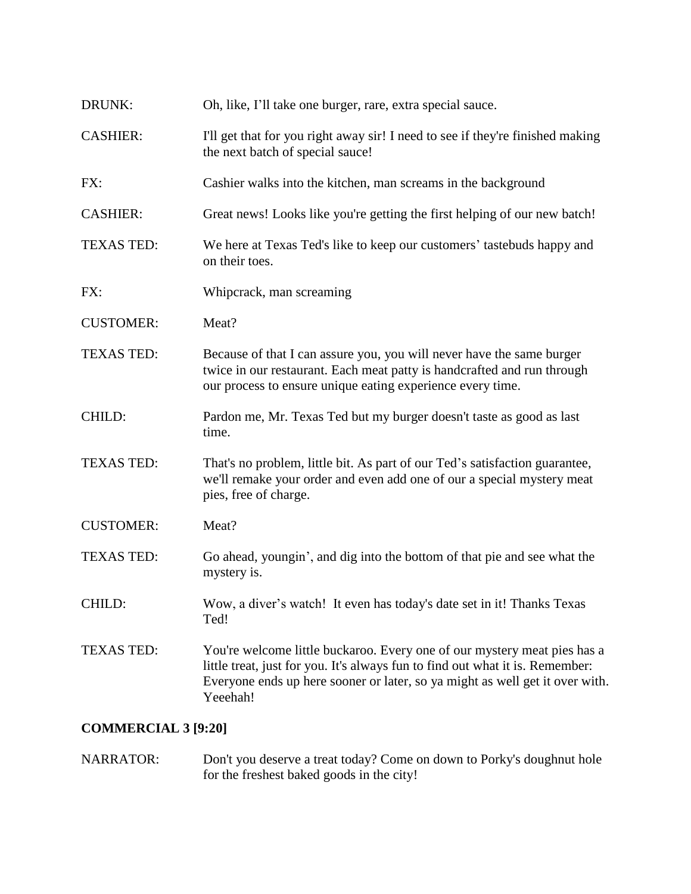| DRUNK:            | Oh, like, I'll take one burger, rare, extra special sauce.                                                                                                                                                                                            |
|-------------------|-------------------------------------------------------------------------------------------------------------------------------------------------------------------------------------------------------------------------------------------------------|
| <b>CASHIER:</b>   | I'll get that for you right away sir! I need to see if they're finished making<br>the next batch of special sauce!                                                                                                                                    |
| FX:               | Cashier walks into the kitchen, man screams in the background                                                                                                                                                                                         |
| <b>CASHIER:</b>   | Great news! Looks like you're getting the first helping of our new batch!                                                                                                                                                                             |
| <b>TEXAS TED:</b> | We here at Texas Ted's like to keep our customers' tastebuds happy and<br>on their toes.                                                                                                                                                              |
| FX:               | Whipcrack, man screaming                                                                                                                                                                                                                              |
| <b>CUSTOMER:</b>  | Meat?                                                                                                                                                                                                                                                 |
| <b>TEXAS TED:</b> | Because of that I can assure you, you will never have the same burger<br>twice in our restaurant. Each meat patty is handcrafted and run through<br>our process to ensure unique eating experience every time.                                        |
| CHILD:            | Pardon me, Mr. Texas Ted but my burger doesn't taste as good as last<br>time.                                                                                                                                                                         |
| <b>TEXAS TED:</b> | That's no problem, little bit. As part of our Ted's satisfaction guarantee,<br>we'll remake your order and even add one of our a special mystery meat<br>pies, free of charge.                                                                        |
| <b>CUSTOMER:</b>  | Meat?                                                                                                                                                                                                                                                 |
| <b>TEXAS TED:</b> | Go ahead, youngin', and dig into the bottom of that pie and see what the<br>mystery is.                                                                                                                                                               |
| CHILD:            | Wow, a diver's watch! It even has today's date set in it! Thanks Texas<br>Ted!                                                                                                                                                                        |
| <b>TEXAS TED:</b> | You're welcome little buckaroo. Every one of our mystery meat pies has a<br>little treat, just for you. It's always fun to find out what it is. Remember:<br>Everyone ends up here sooner or later, so ya might as well get it over with.<br>Yeeehah! |

### **COMMERCIAL 3 [9:20]**

NARRATOR: Don't you deserve a treat today? Come on down to Porky's doughnut hole for the freshest baked goods in the city!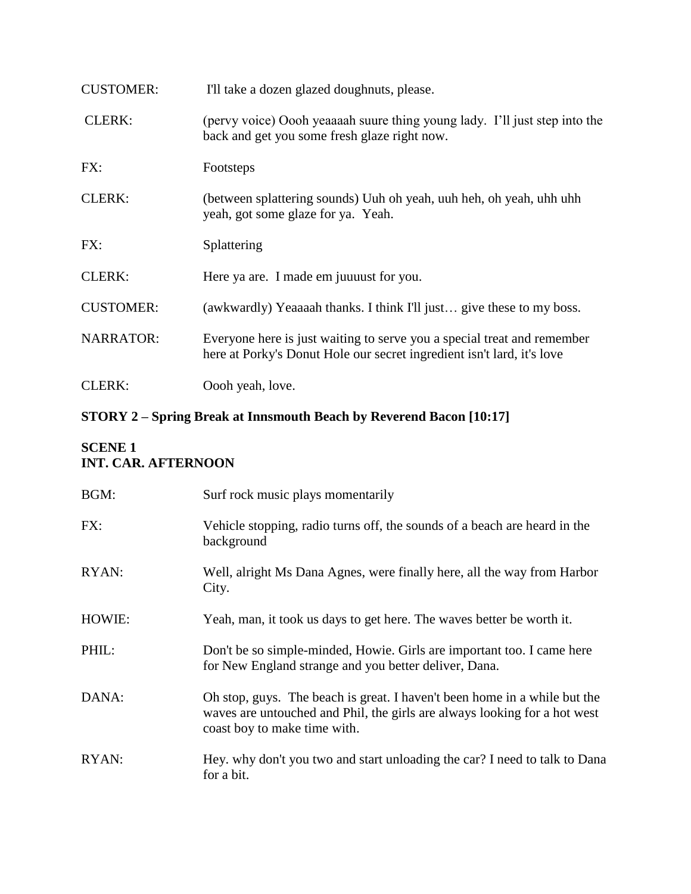| <b>CUSTOMER:</b> | I'll take a dozen glazed doughnuts, please.                                                                                                       |
|------------------|---------------------------------------------------------------------------------------------------------------------------------------------------|
| <b>CLERK:</b>    | (pervy voice) Oooh yeaaaah suure thing young lady. I'll just step into the<br>back and get you some fresh glaze right now.                        |
| FX:              | Footsteps                                                                                                                                         |
| <b>CLERK:</b>    | (between splattering sounds) Uuh oh yeah, uuh heh, oh yeah, uhh uhh<br>yeah, got some glaze for ya. Yeah.                                         |
| FX:              | Splattering                                                                                                                                       |
| <b>CLERK:</b>    | Here ya are. I made em juurest for you.                                                                                                           |
| <b>CUSTOMER:</b> | (awkwardly) Yeaaaah thanks. I think I'll just give these to my boss.                                                                              |
| <b>NARRATOR:</b> | Everyone here is just waiting to serve you a special treat and remember<br>here at Porky's Donut Hole our secret ingredient isn't lard, it's love |
| <b>CLERK:</b>    | Oooh yeah, love.                                                                                                                                  |

# **STORY 2 – Spring Break at Innsmouth Beach by Reverend Bacon [10:17]**

### **SCENE 1 INT. CAR. AFTERNOON**

| BGM:   | Surf rock music plays momentarily                                                                                                                                                      |
|--------|----------------------------------------------------------------------------------------------------------------------------------------------------------------------------------------|
| FX:    | Vehicle stopping, radio turns off, the sounds of a beach are heard in the<br>background                                                                                                |
| RYAN:  | Well, alright Ms Dana Agnes, were finally here, all the way from Harbor<br>City.                                                                                                       |
| HOWIE: | Yeah, man, it took us days to get here. The waves better be worth it.                                                                                                                  |
| PHIL:  | Don't be so simple-minded, Howie. Girls are important too. I came here<br>for New England strange and you better deliver, Dana.                                                        |
| DANA:  | Oh stop, guys. The beach is great. I haven't been home in a while but the<br>waves are untouched and Phil, the girls are always looking for a hot west<br>coast boy to make time with. |
| RYAN:  | Hey, why don't you two and start unloading the car? I need to talk to Dana<br>for a bit.                                                                                               |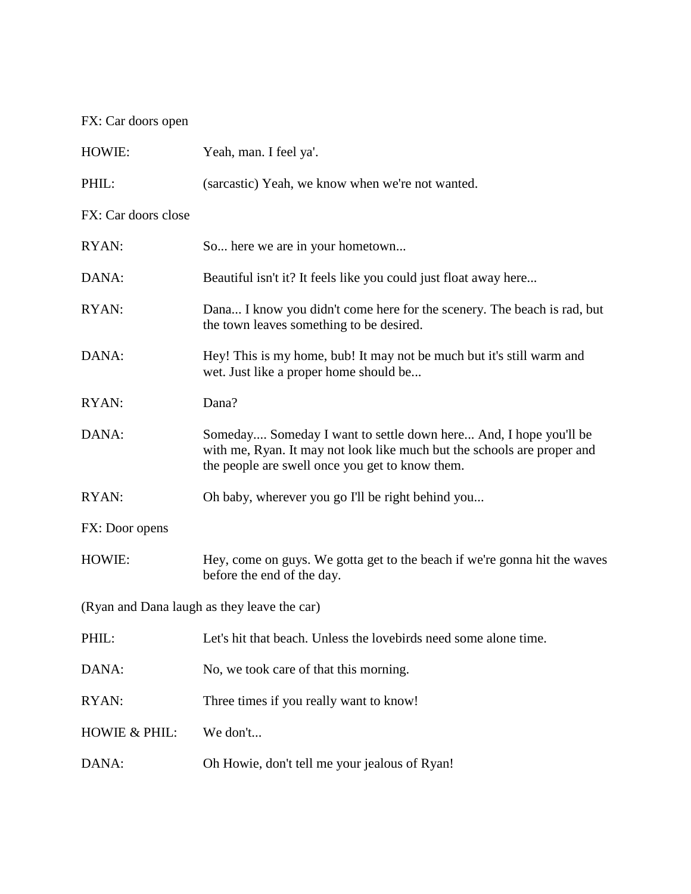# FX: Car doors open

| HOWIE:                                      | Yeah, man. I feel ya'.                                                                                                                                                                         |  |
|---------------------------------------------|------------------------------------------------------------------------------------------------------------------------------------------------------------------------------------------------|--|
| PHIL:                                       | (sarcastic) Yeah, we know when we're not wanted.                                                                                                                                               |  |
| FX: Car doors close                         |                                                                                                                                                                                                |  |
| RYAN:                                       | So here we are in your hometown                                                                                                                                                                |  |
| DANA:                                       | Beautiful isn't it? It feels like you could just float away here                                                                                                                               |  |
| RYAN:                                       | Dana I know you didn't come here for the scenery. The beach is rad, but<br>the town leaves something to be desired.                                                                            |  |
| DANA:                                       | Hey! This is my home, bub! It may not be much but it's still warm and<br>wet. Just like a proper home should be                                                                                |  |
| RYAN:                                       | Dana?                                                                                                                                                                                          |  |
| DANA:                                       | Someday Someday I want to settle down here And, I hope you'll be<br>with me, Ryan. It may not look like much but the schools are proper and<br>the people are swell once you get to know them. |  |
| RYAN:                                       | Oh baby, wherever you go I'll be right behind you                                                                                                                                              |  |
| FX: Door opens                              |                                                                                                                                                                                                |  |
| HOWIE:                                      | Hey, come on guys. We gotta get to the beach if we're gonna hit the waves<br>before the end of the day.                                                                                        |  |
| (Ryan and Dana laugh as they leave the car) |                                                                                                                                                                                                |  |
| PHIL:                                       | Let's hit that beach. Unless the lovebirds need some alone time.                                                                                                                               |  |
| DANA:                                       | No, we took care of that this morning.                                                                                                                                                         |  |
| RYAN:                                       | Three times if you really want to know!                                                                                                                                                        |  |
| <b>HOWIE &amp; PHIL:</b>                    | We don't                                                                                                                                                                                       |  |
| DANA:                                       | Oh Howie, don't tell me your jealous of Ryan!                                                                                                                                                  |  |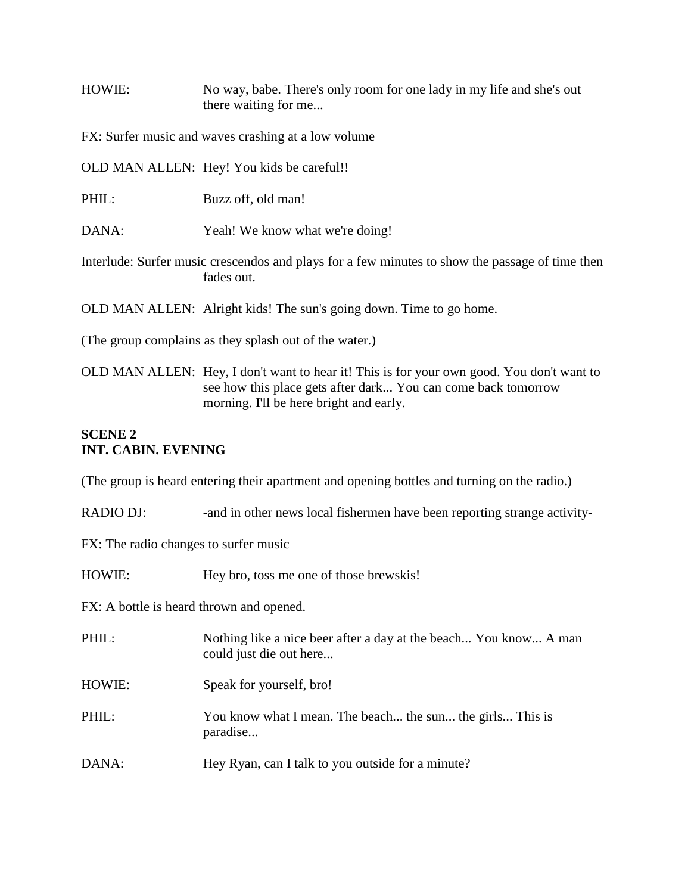HOWIE: No way, babe. There's only room for one lady in my life and she's out there waiting for me...

FX: Surfer music and waves crashing at a low volume

OLD MAN ALLEN: Hey! You kids be careful!!

PHIL: Buzz off, old man!

DANA: Yeah! We know what we're doing!

Interlude: Surfer music crescendos and plays for a few minutes to show the passage of time then fades out.

OLD MAN ALLEN: Alright kids! The sun's going down. Time to go home.

(The group complains as they splash out of the water.)

OLD MAN ALLEN: Hey, I don't want to hear it! This is for your own good. You don't want to see how this place gets after dark... You can come back tomorrow morning. I'll be here bright and early.

### **SCENE 2 INT. CABIN. EVENING**

(The group is heard entering their apartment and opening bottles and turning on the radio.)

RADIO DJ: -and in other news local fishermen have been reporting strange activity-

FX: The radio changes to surfer music

HOWIE: Hey bro, toss me one of those brewskis!

FX: A bottle is heard thrown and opened.

PHIL: Nothing like a nice beer after a day at the beach... You know... A man could just die out here... HOWIE: Speak for yourself, bro! PHIL: You know what I mean. The beach... the sun... the girls... This is paradise... DANA: Hey Ryan, can I talk to you outside for a minute?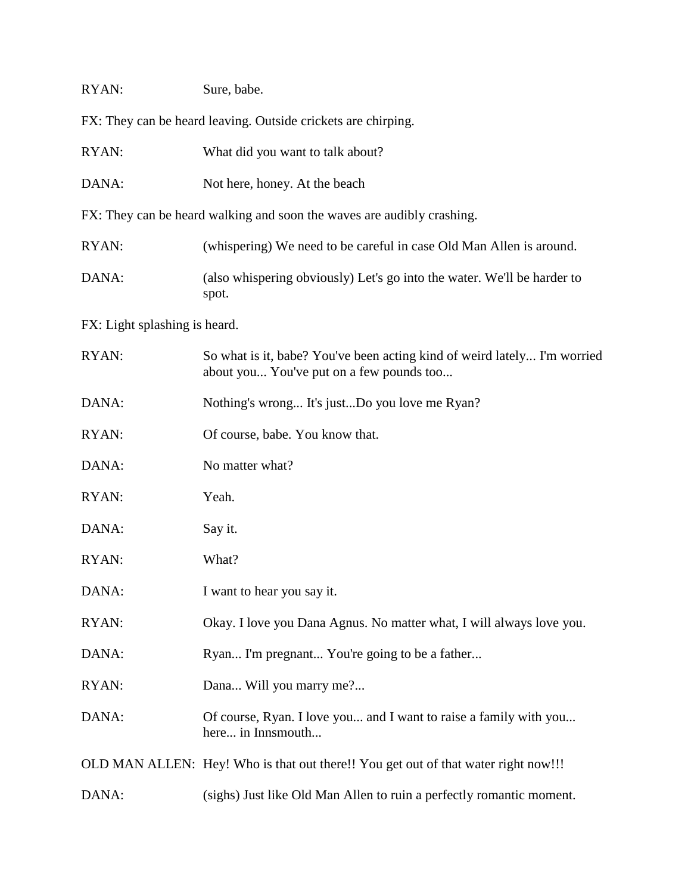| RYAN:                                                                  | Sure, babe.                                                                                                          |  |
|------------------------------------------------------------------------|----------------------------------------------------------------------------------------------------------------------|--|
|                                                                        | FX: They can be heard leaving. Outside crickets are chirping.                                                        |  |
| RYAN:                                                                  | What did you want to talk about?                                                                                     |  |
| DANA:                                                                  | Not here, honey. At the beach                                                                                        |  |
| FX: They can be heard walking and soon the waves are audibly crashing. |                                                                                                                      |  |
| RYAN:                                                                  | (whispering) We need to be careful in case Old Man Allen is around.                                                  |  |
| DANA:                                                                  | (also whispering obviously) Let's go into the water. We'll be harder to<br>spot.                                     |  |
| FX: Light splashing is heard.                                          |                                                                                                                      |  |
| RYAN:                                                                  | So what is it, babe? You've been acting kind of weird lately I'm worried<br>about you You've put on a few pounds too |  |
| DANA:                                                                  | Nothing's wrong It's justDo you love me Ryan?                                                                        |  |
| RYAN:                                                                  | Of course, babe. You know that.                                                                                      |  |
| DANA:                                                                  | No matter what?                                                                                                      |  |
| RYAN:                                                                  | Yeah.                                                                                                                |  |
| DANA:                                                                  | Say it.                                                                                                              |  |
| RYAN:                                                                  | What?                                                                                                                |  |
| DANA:                                                                  | I want to hear you say it.                                                                                           |  |
| RYAN:                                                                  | Okay. I love you Dana Agnus. No matter what, I will always love you.                                                 |  |
| DANA:                                                                  | Ryan I'm pregnant You're going to be a father                                                                        |  |
| RYAN:                                                                  | Dana Will you marry me?                                                                                              |  |
| DANA:                                                                  | Of course, Ryan. I love you and I want to raise a family with you<br>here in Innsmouth                               |  |
|                                                                        | OLD MAN ALLEN: Hey! Who is that out there!! You get out of that water right now!!!                                   |  |

DANA: (sighs) Just like Old Man Allen to ruin a perfectly romantic moment.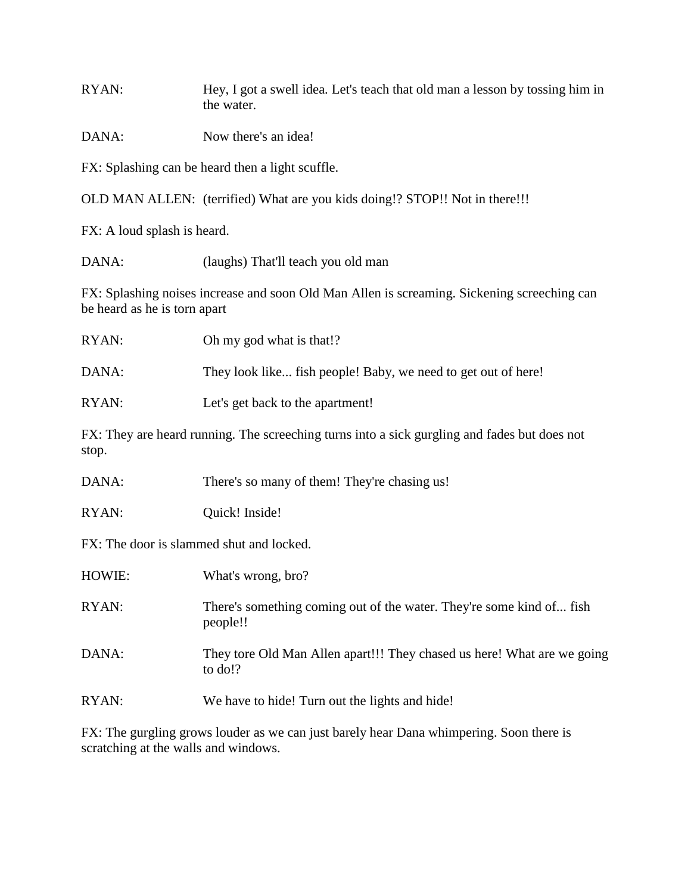RYAN: Hey, I got a swell idea. Let's teach that old man a lesson by tossing him in the water.

DANA: Now there's an idea!

FX: Splashing can be heard then a light scuffle.

OLD MAN ALLEN: (terrified) What are you kids doing!? STOP!! Not in there!!!

FX: A loud splash is heard.

DANA: (laughs) That'll teach you old man

FX: Splashing noises increase and soon Old Man Allen is screaming. Sickening screeching can be heard as he is torn apart

| RYAN:                                    | Oh my god what is that!?                                                                     |
|------------------------------------------|----------------------------------------------------------------------------------------------|
| DANA:                                    | They look like fish people! Baby, we need to get out of here!                                |
| RYAN:                                    | Let's get back to the apartment!                                                             |
| stop.                                    | FX: They are heard running. The screeching turns into a sick gurgling and fades but does not |
| DANA:                                    | There's so many of them! They're chasing us!                                                 |
| RYAN:                                    | Quick! Inside!                                                                               |
| FX: The door is slammed shut and locked. |                                                                                              |

| HOWIE: | What's wrong, bro?                                                                 |
|--------|------------------------------------------------------------------------------------|
| RYAN:  | There's something coming out of the water. They're some kind of fish<br>people!!   |
| DANA:  | They tore Old Man Allen apart!!! They chased us here! What are we going<br>to do!? |
| RYAN:  | We have to hide! Turn out the lights and hide!                                     |

FX: The gurgling grows louder as we can just barely hear Dana whimpering. Soon there is scratching at the walls and windows.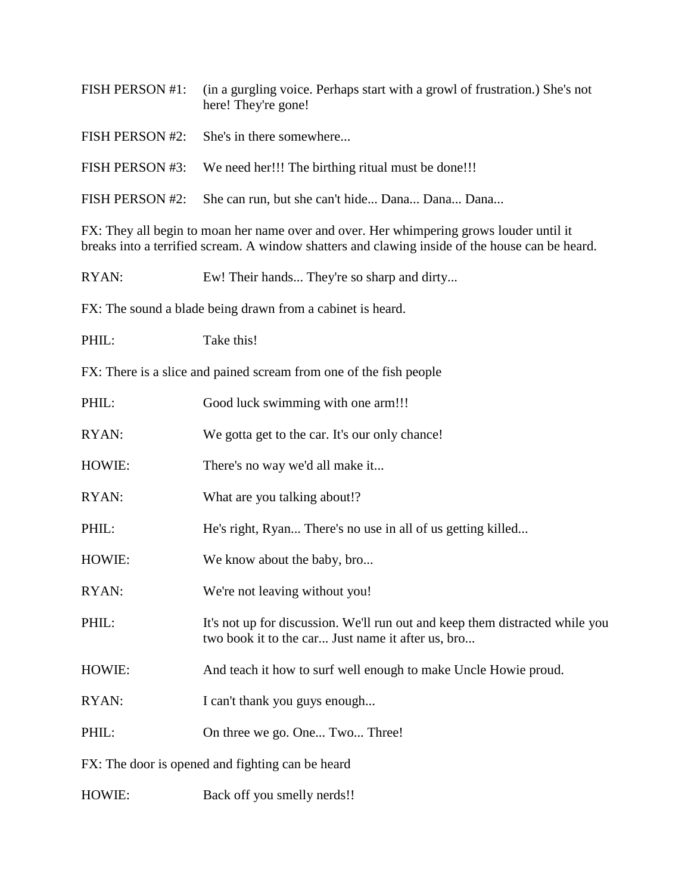| FISH PERSON #1: | (in a gurgling voice. Perhaps start with a growl of frustration.) She's not<br>here! They're gone! |
|-----------------|----------------------------------------------------------------------------------------------------|
| FISH PERSON #2: | She's in there somewhere                                                                           |
|                 | FISH PERSON #3: We need her!!! The birthing ritual must be done!!!                                 |
| FISH PERSON #2: | She can run, but she can't hide Dana Dana Dana                                                     |
|                 |                                                                                                    |

FX: They all begin to moan her name over and over. Her whimpering grows louder until it breaks into a terrified scream. A window shatters and clawing inside of the house can be heard.

RYAN: Ew! Their hands... They're so sharp and dirty...

FX: The sound a blade being drawn from a cabinet is heard.

PHIL: Take this!

FX: There is a slice and pained scream from one of the fish people

| PHIL:                                            | Good luck swimming with one arm!!!                                                                                                |
|--------------------------------------------------|-----------------------------------------------------------------------------------------------------------------------------------|
| RYAN:                                            | We gotta get to the car. It's our only chance!                                                                                    |
| HOWIE:                                           | There's no way we'd all make it                                                                                                   |
| RYAN:                                            | What are you talking about!?                                                                                                      |
| PHIL:                                            | He's right, Ryan There's no use in all of us getting killed                                                                       |
| HOWIE:                                           | We know about the baby, bro                                                                                                       |
| RYAN:                                            | We're not leaving without you!                                                                                                    |
| PHIL:                                            | It's not up for discussion. We'll run out and keep them distracted while you<br>two book it to the car Just name it after us, bro |
| HOWIE:                                           | And teach it how to surf well enough to make Uncle Howie proud.                                                                   |
| RYAN:                                            | I can't thank you guys enough                                                                                                     |
| PHIL:                                            | On three we go. One Two Three!                                                                                                    |
| FX: The door is opened and fighting can be heard |                                                                                                                                   |
| HOWIE:                                           | Back off you smelly nerds!!                                                                                                       |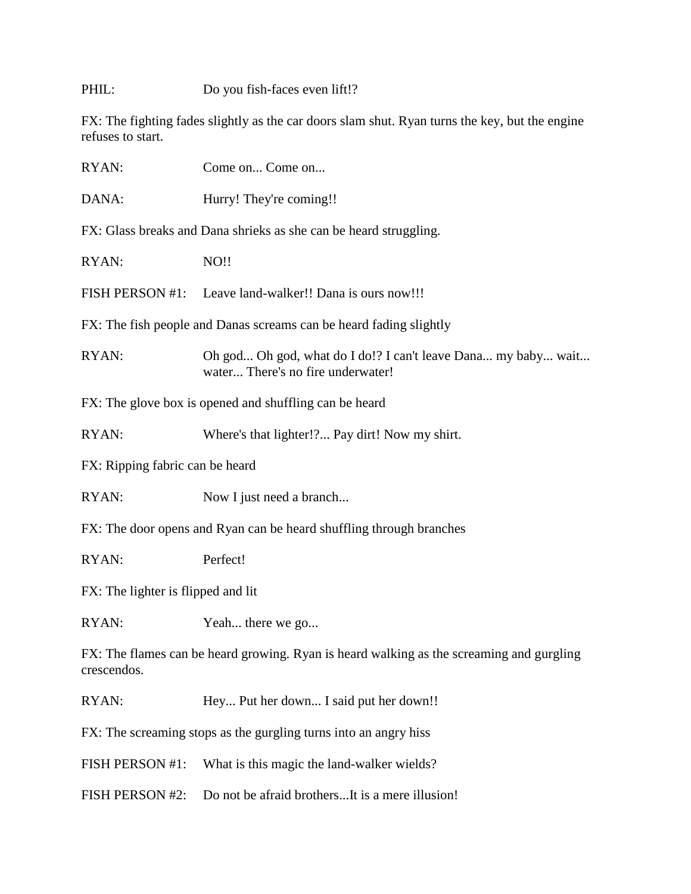PHIL: Do you fish-faces even lift!?

FX: The fighting fades slightly as the car doors slam shut. Ryan turns the key, but the engine refuses to start.

| RYAN:                                                                                                   | Come on Come on                                                                                    |  |
|---------------------------------------------------------------------------------------------------------|----------------------------------------------------------------------------------------------------|--|
| DANA:                                                                                                   | Hurry! They're coming!!                                                                            |  |
|                                                                                                         | FX: Glass breaks and Dana shrieks as she can be heard struggling.                                  |  |
| RYAN:                                                                                                   | NO!!                                                                                               |  |
|                                                                                                         | FISH PERSON #1: Leave land-walker!! Dana is ours now!!!                                            |  |
|                                                                                                         | FX: The fish people and Danas screams can be heard fading slightly                                 |  |
| RYAN:                                                                                                   | Oh god Oh god, what do I do!? I can't leave Dana my baby wait<br>water There's no fire underwater! |  |
|                                                                                                         | FX: The glove box is opened and shuffling can be heard                                             |  |
| RYAN:                                                                                                   | Where's that lighter!? Pay dirt! Now my shirt.                                                     |  |
| FX: Ripping fabric can be heard                                                                         |                                                                                                    |  |
| RYAN:                                                                                                   | Now I just need a branch                                                                           |  |
|                                                                                                         | FX: The door opens and Ryan can be heard shuffling through branches                                |  |
| RYAN:                                                                                                   | Perfect!                                                                                           |  |
| FX: The lighter is flipped and lit                                                                      |                                                                                                    |  |
| RYAN:                                                                                                   | Yeah there we go                                                                                   |  |
| FX: The flames can be heard growing. Ryan is heard walking as the screaming and gurgling<br>crescendos. |                                                                                                    |  |
| RYAN:                                                                                                   | Hey Put her down I said put her down!!                                                             |  |
| FX: The screaming stops as the gurgling turns into an angry hiss                                        |                                                                                                    |  |
| FISH PERSON #1:                                                                                         | What is this magic the land-walker wields?                                                         |  |
| FISH PERSON #2:                                                                                         | Do not be afraid brothersIt is a mere illusion!                                                    |  |
|                                                                                                         |                                                                                                    |  |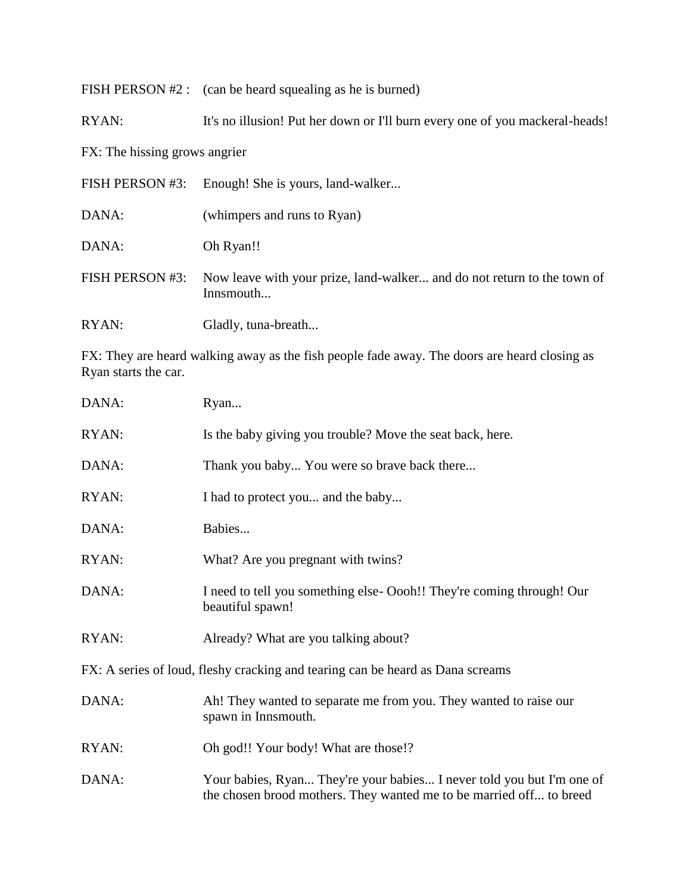| FISH PERSON $#2$ : (can be heard squealing as he is burned) |  |  |  |
|-------------------------------------------------------------|--|--|--|
|-------------------------------------------------------------|--|--|--|

RYAN: It's no illusion! Put her down or I'll burn every one of you mackeral-heads!

FX: The hissing grows angrier

| FISH PERSON #3: | Enough! She is yours, land-walker                                                    |
|-----------------|--------------------------------------------------------------------------------------|
| DANA:           | (whimpers and runs to Ryan)                                                          |
| DANA:           | Oh Ryan!!                                                                            |
| FISH PERSON #3: | Now leave with your prize, land-walker and do not return to the town of<br>Innsmouth |
| RYAN:           | Gladly, tuna-breath                                                                  |

FX: They are heard walking away as the fish people fade away. The doors are heard closing as Ryan starts the car.

| DANA: | Ryan                                                                                                                                         |
|-------|----------------------------------------------------------------------------------------------------------------------------------------------|
| RYAN: | Is the baby giving you trouble? Move the seat back, here.                                                                                    |
| DANA: | Thank you baby You were so brave back there                                                                                                  |
| RYAN: | I had to protect you and the baby                                                                                                            |
| DANA: | Babies                                                                                                                                       |
| RYAN: | What? Are you pregnant with twins?                                                                                                           |
| DANA: | I need to tell you something else- Oooh!! They're coming through! Our<br>beautiful spawn!                                                    |
| RYAN: | Already? What are you talking about?                                                                                                         |
|       | FX: A series of loud, fleshy cracking and tearing can be heard as Dana screams                                                               |
| DANA: | Ah! They wanted to separate me from you. They wanted to raise our<br>spawn in Innsmouth.                                                     |
| RYAN: | Oh god!! Your body! What are those!?                                                                                                         |
| DANA: | Your babies, Ryan They're your babies I never told you but I'm one of<br>the chosen brood mothers. They wanted me to be married off to breed |